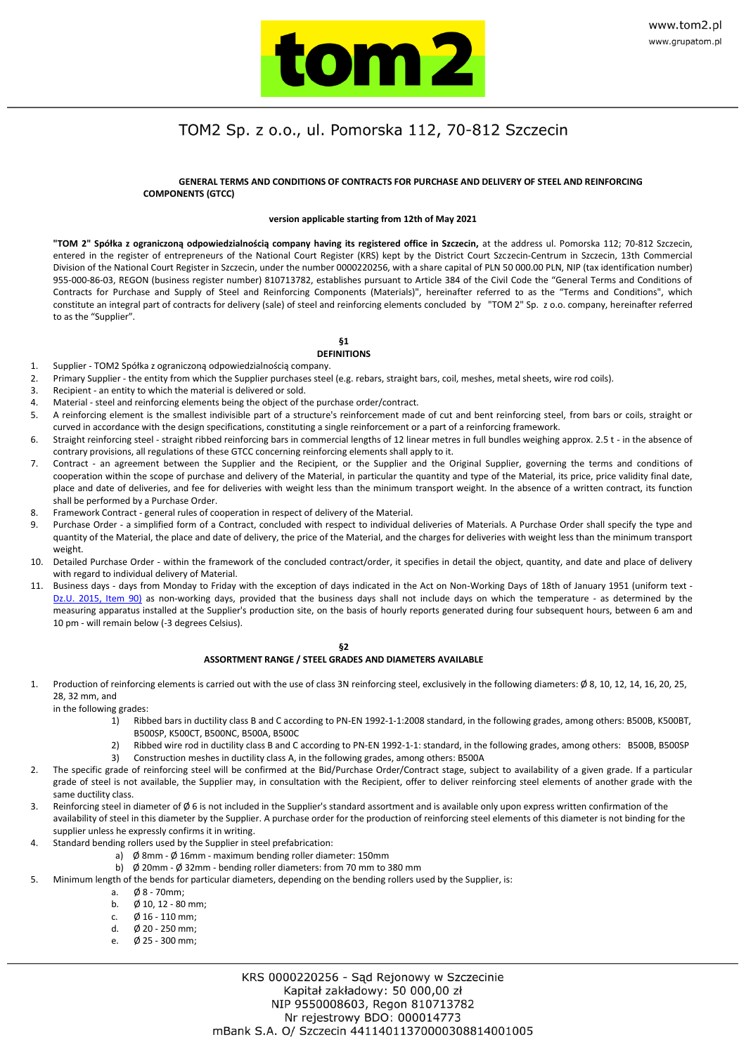

### **GENERAL TERMS AND CONDITIONS OF CONTRACTS FOR PURCHASE AND DELIVERY OF STEEL AND REINFORCING COMPONENTS (GTCC)**

#### **version applicable starting from 12th of May 2021**

**"TOM 2" Spółka z ograniczoną odpowiedzialnością company having its registered office in Szczecin,** at the address ul. Pomorska 112; 70-812 Szczecin, entered in the register of entrepreneurs of the National Court Register (KRS) kept by the District Court Szczecin-Centrum in Szczecin, 13th Commercial Division of the National Court Register in Szczecin, under the number 0000220256, with a share capital of PLN 50 000.00 PLN, NIP (tax identification number) 955-000-86-03, REGON (business register number) 810713782, establishes pursuant to Article 384 of the Civil Code the "General Terms and Conditions of Contracts for Purchase and Supply of Steel and Reinforcing Components (Materials)", hereinafter referred to as the "Terms and Conditions", which constitute an integral part of contracts for delivery (sale) of steel and reinforcing elements concluded by "TOM 2" Sp. z o.o. company, hereinafter referred to as the "Supplier".

## **§1**

### **DEFINITIONS**

- 1. Supplier TOM2 Spółka z ograniczoną odpowiedzialnością company.
- 2. Primary Supplier the entity from which the Supplier purchases steel (e.g. rebars, straight bars, coil, meshes, metal sheets, wire rod coils).
- 3. Recipient an entity to which the material is delivered or sold.
- 4. Material steel and reinforcing elements being the object of the purchase order/contract.
- 5. A reinforcing element is the smallest indivisible part of a structure's reinforcement made of cut and bent reinforcing steel, from bars or coils, straight or curved in accordance with the design specifications, constituting a single reinforcement or a part of a reinforcing framework.
- 6. Straight reinforcing steel straight ribbed reinforcing bars in commercial lengths of 12 linear metres in full bundles weighing approx. 2.5 t in the absence of contrary provisions, all regulations of these GTCC concerning reinforcing elements shall apply to it.
- 7. Contract an agreement between the Supplier and the Recipient, or the Supplier and the Original Supplier, governing the terms and conditions of cooperation within the scope of purchase and delivery of the Material, in particular the quantity and type of the Material, its price, price validity final date, place and date of deliveries, and fee for deliveries with weight less than the minimum transport weight. In the absence of a written contract, its function shall be performed by a Purchase Order.
- 8. Framework Contract general rules of cooperation in respect of delivery of the Material.
- 9. Purchase Order a simplified form of a Contract, concluded with respect to individual deliveries of Materials. A Purchase Order shall specify the type and quantity of the Material, the place and date of delivery, the price of the Material, and the charges for deliveries with weight less than the minimum transport weight.
- 10. Detailed Purchase Order within the framework of the concluded contract/order, it specifies in detail the object, quantity, and date and place of delivery with regard to individual delivery of Material.
- 11. Business days days from Monday to Friday with the exception of days indicated in the Act on Non-Working Days of 18th of January 1951 (uniform text Dz.U. 2015, Item 90) as non-working days, provided that the business days shall not include days on which the temperature - as determined by the measuring apparatus installed at the Supplier's production site, on the basis of hourly reports generated during four subsequent hours, between 6 am and 10 pm - will remain below (-3 degrees Celsius).

#### **§2 ASSORTMENT RANGE / STEEL GRADES AND DIAMETERS AVAILABLE**

Production of reinforcing elements is carried out with the use of class 3N reinforcing steel, exclusively in the following diameters: Ø 8, 10, 12, 14, 16, 20, 25, 28, 32 mm, and

in the following grades:

- 1) Ribbed bars in ductility class B and C according to PN-EN 1992-1-1:2008 standard, in the following grades, among others: B500B, K500BT, B500SP, K500CT, B500NC, B500A, B500C
- 2) Ribbed wire rod in ductility class B and C according to PN-EN 1992-1-1: standard, in the following grades, among others: B500B, B500SP
- 3) Construction meshes in ductility class A, in the following grades, among others: B500A
- 2. The specific grade of reinforcing steel will be confirmed at the Bid/Purchase Order/Contract stage, subject to availability of a given grade. If a particular grade of steel is not available, the Supplier may, in consultation with the Recipient, offer to deliver reinforcing steel elements of another grade with the same ductility class.
- 3. Reinforcing steel in diameter of  $\emptyset$  6 is not included in the Supplier's standard assortment and is available only upon express written confirmation of the availability of steel in this diameter by the Supplier. A purchase order for the production of reinforcing steel elements of this diameter is not binding for the supplier unless he expressly confirms it in writing.
- 4. Standard bending rollers used by the Supplier in steel prefabrication:
	- a) Ø 8mm Ø 16mm maximum bending roller diameter: 150mm
		- b) Ø 20mm Ø 32mm bending roller diameters: from 70 mm to 380 mm
- 5. Minimum length of the bends for particular diameters, depending on the bending rollers used by the Supplier, is:
	-
	- a. Ø 8 70mm;  $\emptyset$  10, 12 - 80 mm;
	- c. Ø 16 110 mm;
	- d. Ø 20 250 mm;
	- $Ø$  25 300 mm;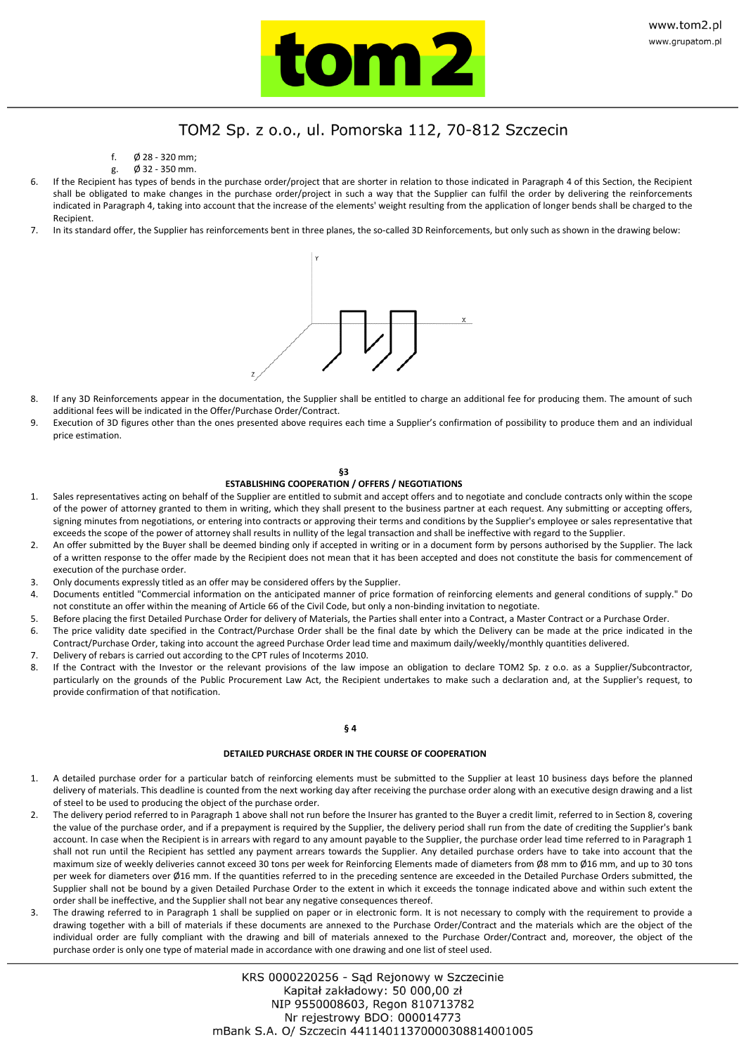

- f. Ø 28 320 mm;
- g. Ø 32 350 mm.
- If the Recipient has types of bends in the purchase order/project that are shorter in relation to those indicated in Paragraph 4 of this Section, the Recipient shall be obligated to make changes in the purchase order/project in such a way that the Supplier can fulfil the order by delivering the reinforcements indicated in Paragraph 4, taking into account that the increase of the elements' weight resulting from the application of longer bends shall be charged to the Recipient.
- 7. In its standard offer, the Supplier has reinforcements bent in three planes, the so-called 3D Reinforcements, but only such as shown in the drawing below:



- 8. If any 3D Reinforcements appear in the documentation, the Supplier shall be entitled to charge an additional fee for producing them. The amount of such additional fees will be indicated in the Offer/Purchase Order/Contract.
- 9. Execution of 3D figures other than the ones presented above requires each time a Supplier's confirmation of possibility to produce them and an individual price estimation.

#### **§3 ESTABLISHING COOPERATION / OFFERS / NEGOTIATIONS**

- 1. Sales representatives acting on behalf of the Supplier are entitled to submit and accept offers and to negotiate and conclude contracts only within the scope of the power of attorney granted to them in writing, which they shall present to the business partner at each request. Any submitting or accepting offers, signing minutes from negotiations, or entering into contracts or approving their terms and conditions by the Supplier's employee or sales representative that exceeds the scope of the power of attorney shall results in nullity of the legal transaction and shall be ineffective with regard to the Supplier.
- 2. An offer submitted by the Buyer shall be deemed binding only if accepted in writing or in a document form by persons authorised by the Supplier. The lack of a written response to the offer made by the Recipient does not mean that it has been accepted and does not constitute the basis for commencement of execution of the purchase order.
- 3. Only documents expressly titled as an offer may be considered offers by the Supplier.
- 4. Documents entitled "Commercial information on the anticipated manner of price formation of reinforcing elements and general conditions of supply." Do not constitute an offer within the meaning of Article 66 of the Civil Code, but only a non-binding invitation to negotiate.
- 5. Before placing the first Detailed Purchase Order for delivery of Materials, the Parties shall enter into a Contract, a Master Contract or a Purchase Order.
- 6. The price validity date specified in the Contract/Purchase Order shall be the final date by which the Delivery can be made at the price indicated in the Contract/Purchase Order, taking into account the agreed Purchase Order lead time and maximum daily/weekly/monthly quantities delivered.
- 7. Delivery of rebars is carried out according to the CPT rules of Incoterms 2010.
- 8. If the Contract with the Investor or the relevant provisions of the law impose an obligation to declare TOM2 Sp. z o.o. as a Supplier/Subcontractor, particularly on the grounds of the Public Procurement Law Act, the Recipient undertakes to make such a declaration and, at the Supplier's request, to provide confirmation of that notification.

#### **§ 4**

#### **DETAILED PURCHASE ORDER IN THE COURSE OF COOPERATION**

- 1. A detailed purchase order for a particular batch of reinforcing elements must be submitted to the Supplier at least 10 business days before the planned delivery of materials. This deadline is counted from the next working day after receiving the purchase order along with an executive design drawing and a list of steel to be used to producing the object of the purchase order.
- 2. The delivery period referred to in Paragraph 1 above shall not run before the Insurer has granted to the Buyer a credit limit, referred to in Section 8, covering the value of the purchase order, and if a prepayment is required by the Supplier, the delivery period shall run from the date of crediting the Supplier's bank account. In case when the Recipient is in arrears with regard to any amount payable to the Supplier, the purchase order lead time referred to in Paragraph 1 shall not run until the Recipient has settled any payment arrears towards the Supplier. Any detailed purchase orders have to take into account that the maximum size of weekly deliveries cannot exceed 30 tons per week for Reinforcing Elements made of diameters from Ø8 mm to Ø16 mm, and up to 30 tons per week for diameters over Ø16 mm. If the quantities referred to in the preceding sentence are exceeded in the Detailed Purchase Orders submitted, the Supplier shall not be bound by a given Detailed Purchase Order to the extent in which it exceeds the tonnage indicated above and within such extent the order shall be ineffective, and the Supplier shall not bear any negative consequences thereof.
- The drawing referred to in Paragraph 1 shall be supplied on paper or in electronic form. It is not necessary to comply with the requirement to provide a drawing together with a bill of materials if these documents are annexed to the Purchase Order/Contract and the materials which are the object of the individual order are fully compliant with the drawing and bill of materials annexed to the Purchase Order/Contract and, moreover, the object of the purchase order is only one type of material made in accordance with one drawing and one list of steel used.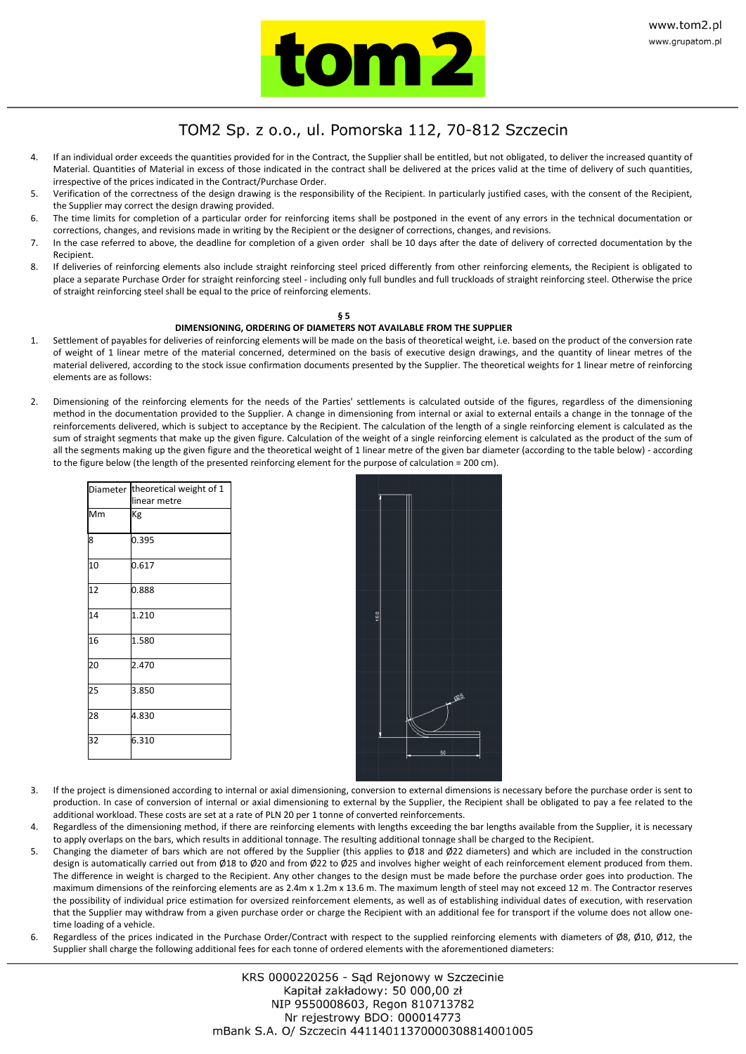

- 4. If an individual order exceeds the quantities provided for in the Contract, the Supplier shall be entitled, but not obligated, to deliver the increased quantity of Material. Quantities of Material in excess of those indicated in the contract shall be delivered at the prices valid at the time of delivery of such quantities, irrespective of the prices indicated in the Contract/Purchase Order.
- 5. Verification of the correctness of the design drawing is the responsibility of the Recipient. In particularly justified cases, with the consent of the Recipient, the Supplier may correct the design drawing provided.
- 6. The time limits for completion of a particular order for reinforcing items shall be postponed in the event of any errors in the technical documentation or corrections, changes, and revisions made in writing by the Recipient or the designer of corrections, changes, and revisions.
- 7. In the case referred to above, the deadline for completion of a given order shall be 10 days after the date of delivery of corrected documentation by the Recipient.
- 8. If deliveries of reinforcing elements also include straight reinforcing steel priced differently from other reinforcing elements, the Recipient is obligated to place a separate Purchase Order for straight reinforcing steel - including only full bundles and full truckloads of straight reinforcing steel. Otherwise the price of straight reinforcing steel shall be equal to the price of reinforcing elements.

### **§ 5**

## **DIMENSIONING, ORDERING OF DIAMETERS NOT AVAILABLE FROM THE SUPPLIER**

- 1. Settlement of payables for deliveries of reinforcing elements will be made on the basis of theoretical weight, i.e. based on the product of the conversion rate of weight of 1 linear metre of the material concerned, determined on the basis of executive design drawings, and the quantity of linear metres of the material delivered, according to the stock issue confirmation documents presented by the Supplier. The theoretical weights for 1 linear metre of reinforcing elements are as follows:
- 2. Dimensioning of the reinforcing elements for the needs of the Parties' settlements is calculated outside of the figures, regardless of the dimensioning method in the documentation provided to the Supplier. A change in dimensioning from internal or axial to external entails a change in the tonnage of the reinforcements delivered, which is subject to acceptance by the Recipient. The calculation of the length of a single reinforcing element is calculated as the sum of straight segments that make up the given figure. Calculation of the weight of a single reinforcing element is calculated as the product of the sum of all the segments making up the given figure and the theoretical weight of 1 linear metre of the given bar diameter (according to the table below) - according to the figure below (the length of the presented reinforcing element for the purpose of calculation = 200 cm).

| Diameter theoretical weight of 1 |
|----------------------------------|
| linear metre                     |
| Kg                               |
| 0.395                            |
| 0.617                            |
| 0.888                            |
| 1.210                            |
| 1.580                            |
| 2.470                            |
| 3.850                            |
| 4.830                            |
| 6.310                            |
|                                  |

- 3. If the project is dimensioned according to internal or axial dimensioning, conversion to external dimensions is necessary before the purchase order is sent to production. In case of conversion of internal or axial dimensioning to external by the Supplier, the Recipient shall be obligated to pay a fee related to the additional workload. These costs are set at a rate of PLN 20 per 1 tonne of converted reinforcements.
- 4. Regardless of the dimensioning method, if there are reinforcing elements with lengths exceeding the bar lengths available from the Supplier, it is necessary to apply overlaps on the bars, which results in additional tonnage. The resulting additional tonnage shall be charged to the Recipient.
- 5. Changing the diameter of bars which are not offered by the Supplier (this applies to Ø18 and Ø22 diameters) and which are included in the construction design is automatically carried out from Ø18 to Ø20 and from Ø22 to Ø25 and involves higher weight of each reinforcement element produced from them. The difference in weight is charged to the Recipient. Any other changes to the design must be made before the purchase order goes into production. The maximum dimensions of the reinforcing elements are as 2.4m x 1.2m x 13.6 m. The maximum length of steel may not exceed 12 m. The Contractor reserves the possibility of individual price estimation for oversized reinforcement elements, as well as of establishing individual dates of execution, with reservation that the Supplier may withdraw from a given purchase order or charge the Recipient with an additional fee for transport if the volume does not allow onetime loading of a vehicle.
- 6. Regardless of the prices indicated in the Purchase Order/Contract with respect to the supplied reinforcing elements with diameters of Ø8, Ø10, Ø12, the Supplier shall charge the following additional fees for each tonne of ordered elements with the aforementioned diameters: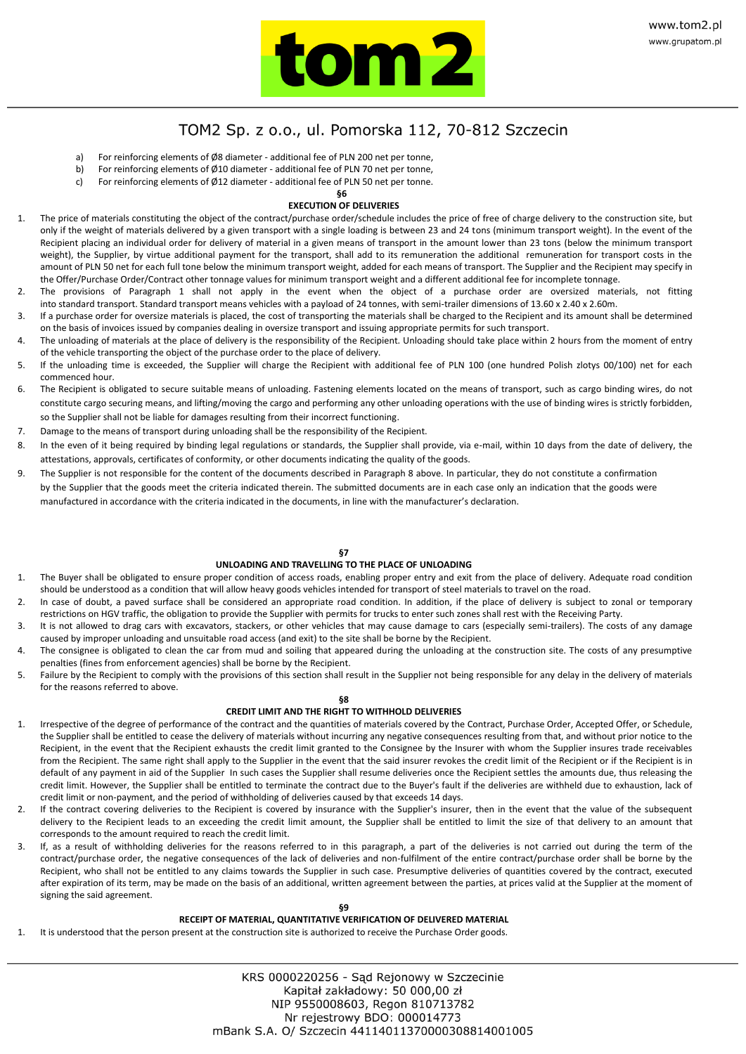

- a) For reinforcing elements of Ø8 diameter additional fee of PLN 200 net per tonne,
- b) For reinforcing elements of Ø10 diameter additional fee of PLN 70 net per tonne,
- c) For reinforcing elements of Ø12 diameter additional fee of PLN 50 net per tonne.

#### **§6 EXECUTION OF DELIVERIES**

- The price of materials constituting the object of the contract/purchase order/schedule includes the price of free of charge delivery to the construction site, but only if the weight of materials delivered by a given transport with a single loading is between 23 and 24 tons (minimum transport weight). In the event of the Recipient placing an individual order for delivery of material in a given means of transport in the amount lower than 23 tons (below the minimum transport weight), the Supplier, by virtue additional payment for the transport, shall add to its remuneration the additional remuneration for transport costs in the amount of PLN 50 net for each full tone below the minimum transport weight, added for each means of transport. The Supplier and the Recipient may specify in the Offer/Purchase Order/Contract other tonnage values for minimum transport weight and a different additional fee for incomplete tonnage.
- The provisions of Paragraph 1 shall not apply in the event when the object of a purchase order are oversized materials, not fitting into standard transport. Standard transport means vehicles with a payload of 24 tonnes, with semi-trailer dimensions of 13.60 x 2.40 x 2.60m.
- If a purchase order for oversize materials is placed, the cost of transporting the materials shall be charged to the Recipient and its amount shall be determined on the basis of invoices issued by companies dealing in oversize transport and issuing appropriate permits for such transport.
- The unloading of materials at the place of delivery is the responsibility of the Recipient. Unloading should take place within 2 hours from the moment of entry of the vehicle transporting the object of the purchase order to the place of delivery.
- 5. If the unloading time is exceeded, the Supplier will charge the Recipient with additional fee of PLN 100 (one hundred Polish zlotys 00/100) net for each commenced hour.
- 6. The Recipient is obligated to secure suitable means of unloading. Fastening elements located on the means of transport, such as cargo binding wires, do not constitute cargo securing means, and lifting/moving the cargo and performing any other unloading operations with the use of binding wires is strictly forbidden, so the Supplier shall not be liable for damages resulting from their incorrect functioning.
- 7. Damage to the means of transport during unloading shall be the responsibility of the Recipient.
- 8. In the even of it being required by binding legal regulations or standards, the Supplier shall provide, via e-mail, within 10 days from the date of delivery, the attestations, approvals, certificates of conformity, or other documents indicating the quality of the goods.
- 9. The Supplier is not responsible for the content of the documents described in Paragraph 8 above. In particular, they do not constitute a confirmation by the Supplier that the goods meet the criteria indicated therein. The submitted documents are in each case only an indication that the goods were manufactured in accordance with the criteria indicated in the documents, in line with the manufacturer's declaration.

## **§7**

### **UNLOADING AND TRAVELLING TO THE PLACE OF UNLOADING**

- 1. The Buyer shall be obligated to ensure proper condition of access roads, enabling proper entry and exit from the place of delivery. Adequate road condition should be understood as a condition that will allow heavy goods vehicles intended for transport of steel materials to travel on the road.
- 2. In case of doubt, a paved surface shall be considered an appropriate road condition. In addition, if the place of delivery is subject to zonal or temporary restrictions on HGV traffic, the obligation to provide the Supplier with permits for trucks to enter such zones shall rest with the Receiving Party.
- 3. It is not allowed to drag cars with excavators, stackers, or other vehicles that may cause damage to cars (especially semi-trailers). The costs of any damage caused by improper unloading and unsuitable road access (and exit) to the site shall be borne by the Recipient.
- The consignee is obligated to clean the car from mud and soiling that appeared during the unloading at the construction site. The costs of any presumptive penalties (fines from enforcement agencies) shall be borne by the Recipient.
- 5. Failure by the Recipient to comply with the provisions of this section shall result in the Supplier not being responsible for any delay in the delivery of materials for the reasons referred to above.

## **§8**

## **CREDIT LIMIT AND THE RIGHT TO WITHHOLD DELIVERIES**

- 1. Irrespective of the degree of performance of the contract and the quantities of materials covered by the Contract, Purchase Order, Accepted Offer, or Schedule, the Supplier shall be entitled to cease the delivery of materials without incurring any negative consequences resulting from that, and without prior notice to the Recipient, in the event that the Recipient exhausts the credit limit granted to the Consignee by the Insurer with whom the Supplier insures trade receivables from the Recipient. The same right shall apply to the Supplier in the event that the said insurer revokes the credit limit of the Recipient or if the Recipient is in default of any payment in aid of the Supplier In such cases the Supplier shall resume deliveries once the Recipient settles the amounts due, thus releasing the credit limit. However, the Supplier shall be entitled to terminate the contract due to the Buyer's fault if the deliveries are withheld due to exhaustion, lack of credit limit or non-payment, and the period of withholding of deliveries caused by that exceeds 14 days.
- 2. If the contract covering deliveries to the Recipient is covered by insurance with the Supplier's insurer, then in the event that the value of the subsequent delivery to the Recipient leads to an exceeding the credit limit amount, the Supplier shall be entitled to limit the size of that delivery to an amount that corresponds to the amount required to reach the credit limit.
- If, as a result of withholding deliveries for the reasons referred to in this paragraph, a part of the deliveries is not carried out during the term of the contract/purchase order, the negative consequences of the lack of deliveries and non-fulfilment of the entire contract/purchase order shall be borne by the Recipient, who shall not be entitled to any claims towards the Supplier in such case. Presumptive deliveries of quantities covered by the contract, executed after expiration of its term, may be made on the basis of an additional, written agreement between the parties, at prices valid at the Supplier at the moment of signing the said agreement.

## **RECEIPT OF MATERIAL, QUANTITATIVE VERIFICATION OF DELIVERED MATERIAL**

It is understood that the person present at the construction site is authorized to receive the Purchase Order goods.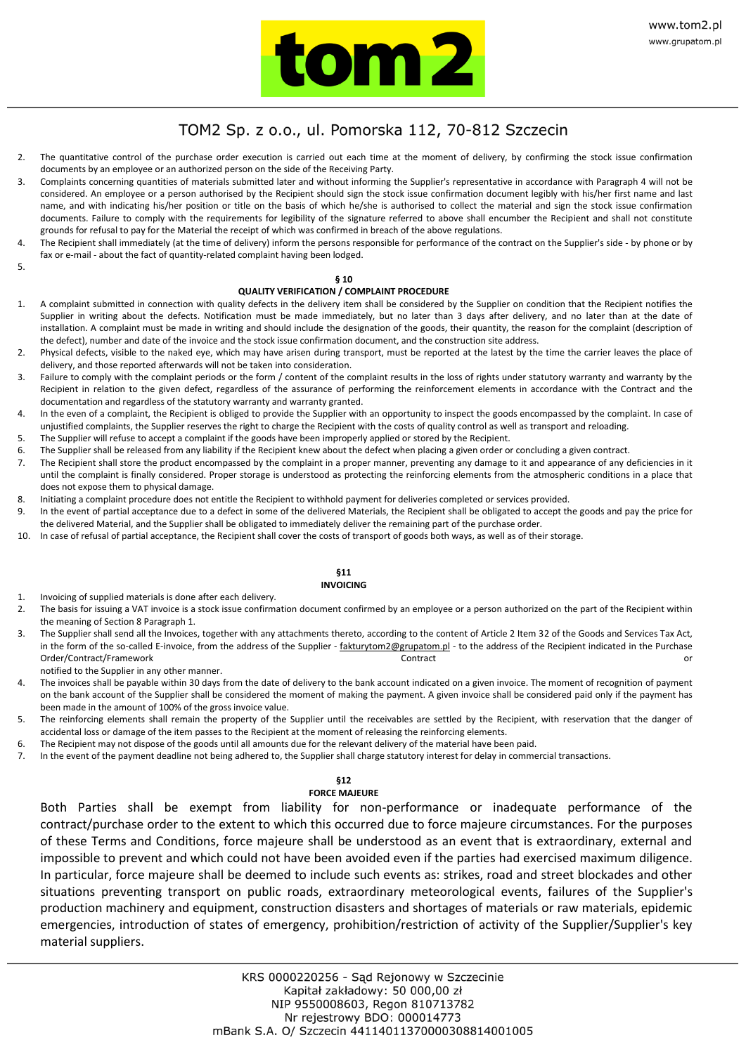

- 2. The quantitative control of the purchase order execution is carried out each time at the moment of delivery, by confirming the stock issue confirmation documents by an employee or an authorized person on the side of the Receiving Party.
- 3. Complaints concerning quantities of materials submitted later and without informing the Supplier's representative in accordance with Paragraph 4 will not be considered. An employee or a person authorised by the Recipient should sign the stock issue confirmation document legibly with his/her first name and last name, and with indicating his/her position or title on the basis of which he/she is authorised to collect the material and sign the stock issue confirmation documents. Failure to comply with the requirements for legibility of the signature referred to above shall encumber the Recipient and shall not constitute grounds for refusal to pay for the Material the receipt of which was confirmed in breach of the above regulations.
- The Recipient shall immediately (at the time of delivery) inform the persons responsible for performance of the contract on the Supplier's side by phone or by fax or e-mail - about the fact of quantity-related complaint having been lodged.

### 5.

### **§ 10**

### **QUALITY VERIFICATION / COMPLAINT PROCEDURE**

- 1. A complaint submitted in connection with quality defects in the delivery item shall be considered by the Supplier on condition that the Recipient notifies the Supplier in writing about the defects. Notification must be made immediately, but no later than 3 days after delivery, and no later than at the date of installation. A complaint must be made in writing and should include the designation of the goods, their quantity, the reason for the complaint (description of the defect), number and date of the invoice and the stock issue confirmation document, and the construction site address.
- 2. Physical defects, visible to the naked eye, which may have arisen during transport, must be reported at the latest by the time the carrier leaves the place of delivery, and those reported afterwards will not be taken into consideration.
- 3. Failure to comply with the complaint periods or the form / content of the complaint results in the loss of rights under statutory warranty and warranty by the Recipient in relation to the given defect, regardless of the assurance of performing the reinforcement elements in accordance with the Contract and the documentation and regardless of the statutory warranty and warranty granted.
- 4. In the even of a complaint, the Recipient is obliged to provide the Supplier with an opportunity to inspect the goods encompassed by the complaint. In case of unjustified complaints, the Supplier reserves the right to charge the Recipient with the costs of quality control as well as transport and reloading.
- 5. The Supplier will refuse to accept a complaint if the goods have been improperly applied or stored by the Recipient.
- 6. The Supplier shall be released from any liability if the Recipient knew about the defect when placing a given order or concluding a given contract.
- 7. The Recipient shall store the product encompassed by the complaint in a proper manner, preventing any damage to it and appearance of any deficiencies in it until the complaint is finally considered. Proper storage is understood as protecting the reinforcing elements from the atmospheric conditions in a place that does not expose them to physical damage.
- 8. Initiating a complaint procedure does not entitle the Recipient to withhold payment for deliveries completed or services provided.
- 9. In the event of partial acceptance due to a defect in some of the delivered Materials, the Recipient shall be obligated to accept the goods and pay the price for the delivered Material, and the Supplier shall be obligated to immediately deliver the remaining part of the purchase order.
- 10. In case of refusal of partial acceptance, the Recipient shall cover the costs of transport of goods both ways, as well as of their storage.

#### **§11 INVOICING**

- 1. Invoicing of supplied materials is done after each delivery.
- 2. The basis for issuing a VAT invoice is a stock issue confirmation document confirmed by an employee or a person authorized on the part of the Recipient within the meaning of Section 8 Paragraph 1.
- 3. The Supplier shall send all the Invoices, together with any attachments thereto, according to the content of Article 2 Item 32 of the Goods and Services Tax Act, in the form of the so-called E-invoice, from the address of the Supplier - fakturytom2@grupatom.pl - to the address of the Recipient indicated in the Purchase Order/Contract/Framework Contract or

notified to the Supplier in any other manner.

- 4. The invoices shall be payable within 30 days from the date of delivery to the bank account indicated on a given invoice. The moment of recognition of payment on the bank account of the Supplier shall be considered the moment of making the payment. A given invoice shall be considered paid only if the payment has been made in the amount of 100% of the gross invoice value.
- 5. The reinforcing elements shall remain the property of the Supplier until the receivables are settled by the Recipient, with reservation that the danger of accidental loss or damage of the item passes to the Recipient at the moment of releasing the reinforcing elements.
- 6. The Recipient may not dispose of the goods until all amounts due for the relevant delivery of the material have been paid.
- 7. In the event of the payment deadline not being adhered to, the Supplier shall charge statutory interest for delay in commercial transactions.

### **§12**

### **FORCE MAJEURE**

 Both Parties shall be exempt from liability for non-performance or inadequate performance of the contract/purchase order to the extent to which this occurred due to force majeure circumstances. For the purposes of these Terms and Conditions, force majeure shall be understood as an event that is extraordinary, external and impossible to prevent and which could not have been avoided even if the parties had exercised maximum diligence. In particular, force majeure shall be deemed to include such events as: strikes, road and street blockades and other situations preventing transport on public roads, extraordinary meteorological events, failures of the Supplier's production machinery and equipment, construction disasters and shortages of materials or raw materials, epidemic emergencies, introduction of states of emergency, prohibition/restriction of activity of the Supplier/Supplier's key material suppliers.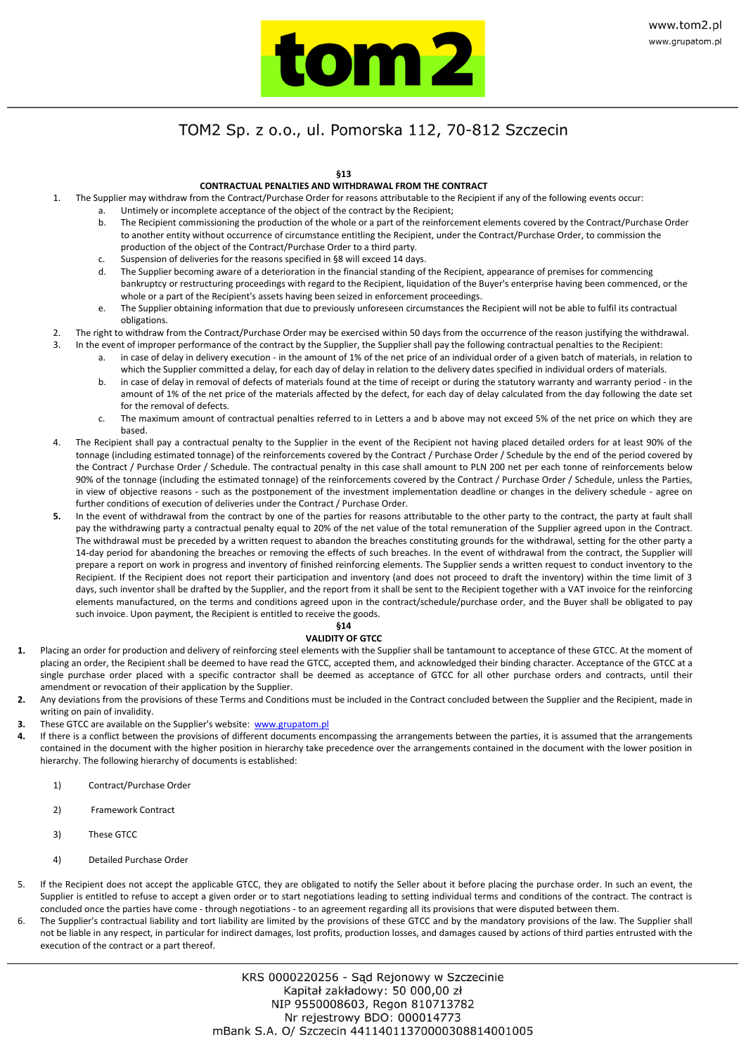

**§13**

### **CONTRACTUAL PENALTIES AND WITHDRAWAL FROM THE CONTRACT**

- 1. The Supplier may withdraw from the Contract/Purchase Order for reasons attributable to the Recipient if any of the following events occur:
	- Untimely or incomplete acceptance of the object of the contract by the Recipient; b. The Recipient commissioning the production of the whole or a part of the reinforcement elements covered by the Contract/Purchase Order
	- to another entity without occurrence of circumstance entitling the Recipient, under the Contract/Purchase Order, to commission the production of the object of the Contract/Purchase Order to a third party.
	- c. Suspension of deliveries for the reasons specified in §8 will exceed 14 days.
	- d. The Supplier becoming aware of a deterioration in the financial standing of the Recipient, appearance of premises for commencing bankruptcy or restructuring proceedings with regard to the Recipient, liquidation of the Buyer's enterprise having been commenced, or the whole or a part of the Recipient's assets having been seized in enforcement proceedings.
	- The Supplier obtaining information that due to previously unforeseen circumstances the Recipient will not be able to fulfil its contractual obligations.
- 2. The right to withdraw from the Contract/Purchase Order may be exercised within 50 days from the occurrence of the reason justifying the withdrawal.
- 3. In the event of improper performance of the contract by the Supplier, the Supplier shall pay the following contractual penalties to the Recipient:
	- in case of delay in delivery execution in the amount of 1% of the net price of an individual order of a given batch of materials, in relation to which the Supplier committed a delay, for each day of delay in relation to the delivery dates specified in individual orders of materials.
	- b. in case of delay in removal of defects of materials found at the time of receipt or during the statutory warranty and warranty period in the amount of 1% of the net price of the materials affected by the defect, for each day of delay calculated from the day following the date set for the removal of defects.
	- c. The maximum amount of contractual penalties referred to in Letters a and b above may not exceed 5% of the net price on which they are based.
- 4. The Recipient shall pay a contractual penalty to the Supplier in the event of the Recipient not having placed detailed orders for at least 90% of the tonnage (including estimated tonnage) of the reinforcements covered by the Contract / Purchase Order / Schedule by the end of the period covered by the Contract / Purchase Order / Schedule. The contractual penalty in this case shall amount to PLN 200 net per each tonne of reinforcements below 90% of the tonnage (including the estimated tonnage) of the reinforcements covered by the Contract / Purchase Order / Schedule, unless the Parties, in view of objective reasons - such as the postponement of the investment implementation deadline or changes in the delivery schedule - agree on further conditions of execution of deliveries under the Contract / Purchase Order.
- 5. In the event of withdrawal from the contract by one of the parties for reasons attributable to the other party to the contract, the party at fault shall pay the withdrawing party a contractual penalty equal to 20% of the net value of the total remuneration of the Supplier agreed upon in the Contract. The withdrawal must be preceded by a written request to abandon the breaches constituting grounds for the withdrawal, setting for the other party a 14-day period for abandoning the breaches or removing the effects of such breaches. In the event of withdrawal from the contract, the Supplier will prepare a report on work in progress and inventory of finished reinforcing elements. The Supplier sends a written request to conduct inventory to the Recipient. If the Recipient does not report their participation and inventory (and does not proceed to draft the inventory) within the time limit of 3 days, such inventor shall be drafted by the Supplier, and the report from it shall be sent to the Recipient together with a VAT invoice for the reinforcing elements manufactured, on the terms and conditions agreed upon in the contract/schedule/purchase order, and the Buyer shall be obligated to pay such invoice. Upon payment, the Recipient is entitled to receive the goods.

### **§14**

### **VALIDITY OF GTCC**

- **1.** Placing an order for production and delivery of reinforcing steel elements with the Supplier shall be tantamount to acceptance of these GTCC. At the moment of placing an order, the Recipient shall be deemed to have read the GTCC, accepted them, and acknowledged their binding character. Acceptance of the GTCC at a single purchase order placed with a specific contractor shall be deemed as acceptance of GTCC for all other purchase orders and contracts, until their amendment or revocation of their application by the Supplier.
- **2.** Any deviations from the provisions of these Terms and Conditions must be included in the Contract concluded between the Supplier and the Recipient, made in writing on pain of invalidity.
- **3.** These GTCC are available on the Supplier's website[: www.grupatom.pl](http://www.grupatom.pl/)
- **4.** If there is a conflict between the provisions of different documents encompassing the arrangements between the parties, it is assumed that the arrangements contained in the document with the higher position in hierarchy take precedence over the arrangements contained in the document with the lower position in hierarchy. The following hierarchy of documents is established:
	- 1) Contract/Purchase Order
	- 2) Framework Contract
	- 3) These GTCC
	- 4) Detailed Purchase Order
- 5. If the Recipient does not accept the applicable GTCC, they are obligated to notify the Seller about it before placing the purchase order. In such an event, the Supplier is entitled to refuse to accept a given order or to start negotiations leading to setting individual terms and conditions of the contract. The contract is concluded once the parties have come - through negotiations - to an agreement regarding all its provisions that were disputed between them.
- The Supplier's contractual liability and tort liability are limited by the provisions of these GTCC and by the mandatory provisions of the law. The Supplier shall not be liable in any respect, in particular for indirect damages, lost profits, production losses, and damages caused by actions of third parties entrusted with the execution of the contract or a part thereof.